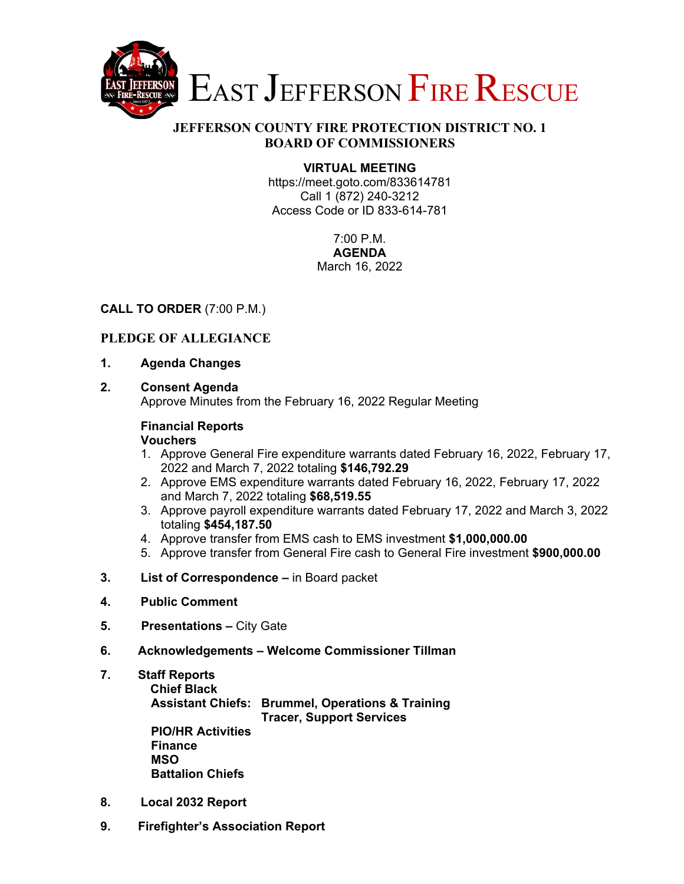

# **JEFFERSON COUNTY FIRE PROTECTION DISTRICT NO. 1 BOARD OF COMMISSIONERS**

# **VIRTUAL MEETING**

https://meet.goto.com/833614781 Call 1 (872) 240-3212 Access Code or ID 833-614-781

> 7:00 P.M. **AGENDA**  March 16, 2022

### **CALL TO ORDER** (7:00 P.M.)

# **PLEDGE OF ALLEGIANCE**

- **1. Agenda Changes**
- **2. Consent Agenda**

Approve Minutes from the February 16, 2022 Regular Meeting

#### **Financial Reports Vouchers**

- 1. Approve General Fire expenditure warrants dated February 16, 2022, February 17, 2022 and March 7, 2022 totaling **\$146,792.29**
- 2. Approve EMS expenditure warrants dated February 16, 2022, February 17, 2022 and March 7, 2022 totaling **\$68,519.55**
- 3. Approve payroll expenditure warrants dated February 17, 2022 and March 3, 2022 totaling **\$454,187.50**
- 4. Approve transfer from EMS cash to EMS investment **\$1,000,000.00**
- 5. Approve transfer from General Fire cash to General Fire investment **\$900,000.00**
- **3. List of Correspondence** in Board packet
- **4. Public Comment**
- **5. Presentations** City Gate
- **6. Acknowledgements Welcome Commissioner Tillman**
- **7. Staff Reports**

**Chief Black** 

 **Assistant Chiefs: Brummel, Operations & Training Tracer, Support Services PIO/HR Activities** 

 **Finance MSO Battalion Chiefs** 

- **8. Local 2032 Report**
- **9. Firefighter's Association Report**